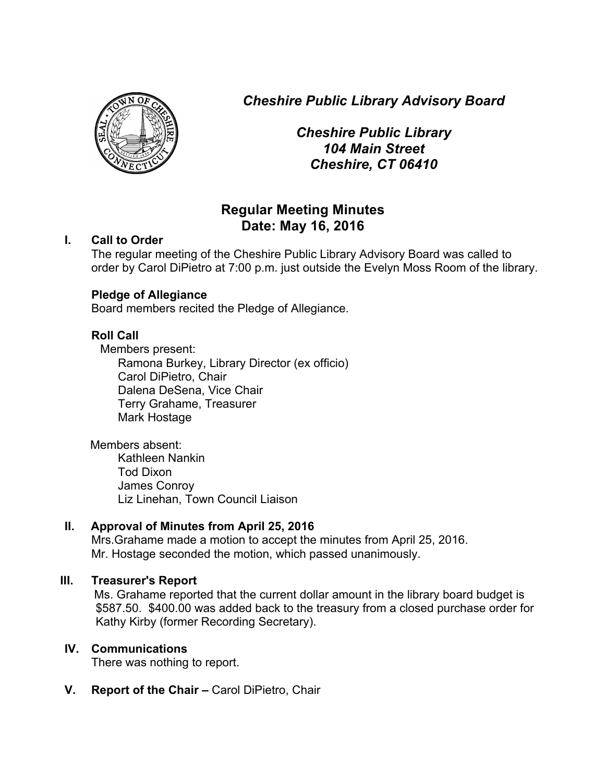*Cheshire Public Library Advisory Board*



*Cheshire Public Library 104 Main Street Cheshire, CT 06410*

# **Regular Meeting Minutes Date: May 16, 2016**

### **I. Call to Order**

The regular meeting of the Cheshire Public Library Advisory Board was called to order by Carol DiPietro at 7:00 p.m. just outside the Evelyn Moss Room of the library.

## **Pledge of Allegiance**

Board members recited the Pledge of Allegiance.

## **Roll Call**

Members present:

Ramona Burkey, Library Director (ex officio) Carol DiPietro, Chair Dalena DeSena, Vice Chair Terry Grahame, Treasurer Mark Hostage

Members absent: Kathleen Nankin Tod Dixon James Conroy Liz Linehan, Town Council Liaison

## **II. Approval of Minutes from April 25, 2016**

Mrs.Grahame made a motion to accept the minutes from April 25, 2016. Mr. Hostage seconded the motion, which passed unanimously.

## **III. Treasurer's Report**

 Ms. Grahame reported that the current dollar amount in the library board budget is \$587.50. \$400.00 was added back to the treasury from a closed purchase order for Kathy Kirby (former Recording Secretary).

## **IV. Communications**

There was nothing to report.

**V. Report of the Chair –** Carol DiPietro, Chair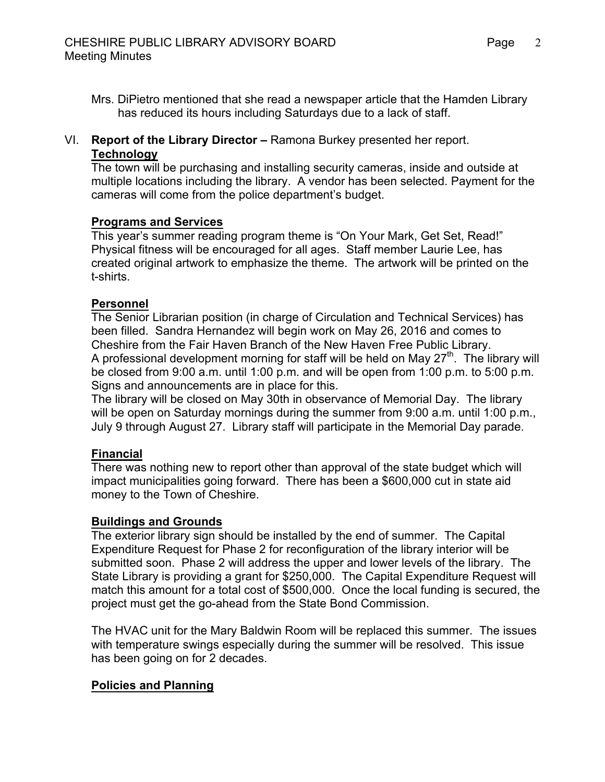Mrs. DiPietro mentioned that she read a newspaper article that the Hamden Library has reduced its hours including Saturdays due to a lack of staff.

### VI. **Report of the Library Director –** Ramona Burkey presented her report. **Technology**

The town will be purchasing and installing security cameras, inside and outside at multiple locations including the library. A vendor has been selected. Payment for the cameras will come from the police department's budget.

### **Programs and Services**

This year's summer reading program theme is "On Your Mark, Get Set, Read!" Physical fitness will be encouraged for all ages. Staff member Laurie Lee, has created original artwork to emphasize the theme. The artwork will be printed on the t-shirts.

#### **Personnel**

The Senior Librarian position (in charge of Circulation and Technical Services) has been filled. Sandra Hernandez will begin work on May 26, 2016 and comes to Cheshire from the Fair Haven Branch of the New Haven Free Public Library. A professional development morning for staff will be held on May  $27<sup>th</sup>$ . The library will be closed from 9:00 a.m. until 1:00 p.m. and will be open from 1:00 p.m. to 5:00 p.m. Signs and announcements are in place for this.

The library will be closed on May 30th in observance of Memorial Day. The library will be open on Saturday mornings during the summer from 9:00 a.m. until 1:00 p.m., July 9 through August 27. Library staff will participate in the Memorial Day parade.

### **Financial**

There was nothing new to report other than approval of the state budget which will impact municipalities going forward. There has been a \$600,000 cut in state aid money to the Town of Cheshire.

#### **Buildings and Grounds**

The exterior library sign should be installed by the end of summer. The Capital Expenditure Request for Phase 2 for reconfiguration of the library interior will be submitted soon. Phase 2 will address the upper and lower levels of the library. The State Library is providing a grant for \$250,000. The Capital Expenditure Request will match this amount for a total cost of \$500,000. Once the local funding is secured, the project must get the go-ahead from the State Bond Commission.

The HVAC unit for the Mary Baldwin Room will be replaced this summer. The issues with temperature swings especially during the summer will be resolved. This issue has been going on for 2 decades.

#### **Policies and Planning**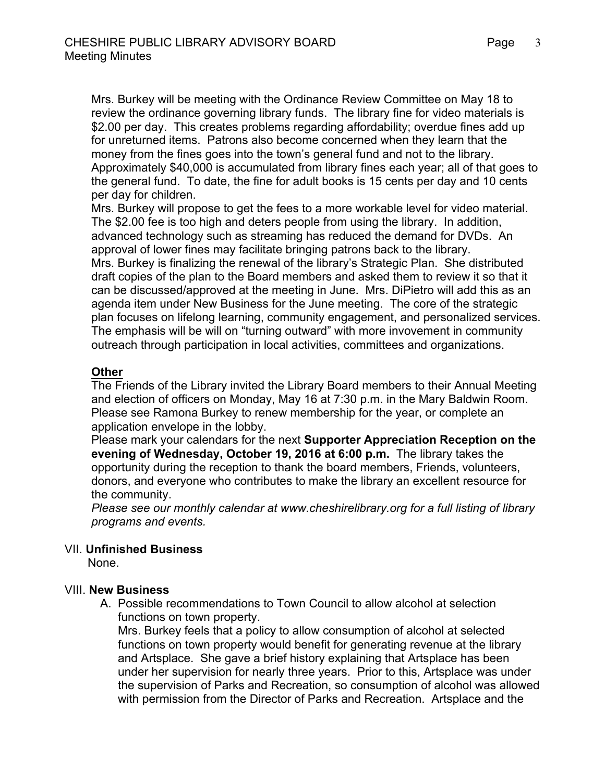Mrs. Burkey will be meeting with the Ordinance Review Committee on May 18 to review the ordinance governing library funds. The library fine for video materials is \$2.00 per day. This creates problems regarding affordability; overdue fines add up for unreturned items. Patrons also become concerned when they learn that the money from the fines goes into the town's general fund and not to the library. Approximately \$40,000 is accumulated from library fines each year; all of that goes to the general fund. To date, the fine for adult books is 15 cents per day and 10 cents per day for children.

Mrs. Burkey will propose to get the fees to a more workable level for video material. The \$2.00 fee is too high and deters people from using the library. In addition, advanced technology such as streaming has reduced the demand for DVDs. An approval of lower fines may facilitate bringing patrons back to the library. Mrs. Burkey is finalizing the renewal of the library's Strategic Plan. She distributed draft copies of the plan to the Board members and asked them to review it so that it can be discussed/approved at the meeting in June. Mrs. DiPietro will add this as an agenda item under New Business for the June meeting. The core of the strategic plan focuses on lifelong learning, community engagement, and personalized services. The emphasis will be will on "turning outward" with more invovement in community outreach through participation in local activities, committees and organizations.

### **Other**

The Friends of the Library invited the Library Board members to their Annual Meeting and election of officers on Monday, May 16 at 7:30 p.m. in the Mary Baldwin Room. Please see Ramona Burkey to renew membership for the year, or complete an application envelope in the lobby.

Please mark your calendars for the next **Supporter Appreciation Reception on the evening of Wednesday, October 19, 2016 at 6:00 p.m.** The library takes the opportunity during the reception to thank the board members, Friends, volunteers, donors, and everyone who contributes to make the library an excellent resource for the community.

*Please see our monthly calendar at www.cheshirelibrary.org for a full listing of library programs and events.*

#### VII. **Unfinished Business**

None.

#### VIII. **New Business**

A. Possible recommendations to Town Council to allow alcohol at selection functions on town property.

Mrs. Burkey feels that a policy to allow consumption of alcohol at selected functions on town property would benefit for generating revenue at the library and Artsplace. She gave a brief history explaining that Artsplace has been under her supervision for nearly three years. Prior to this, Artsplace was under the supervision of Parks and Recreation, so consumption of alcohol was allowed with permission from the Director of Parks and Recreation. Artsplace and the